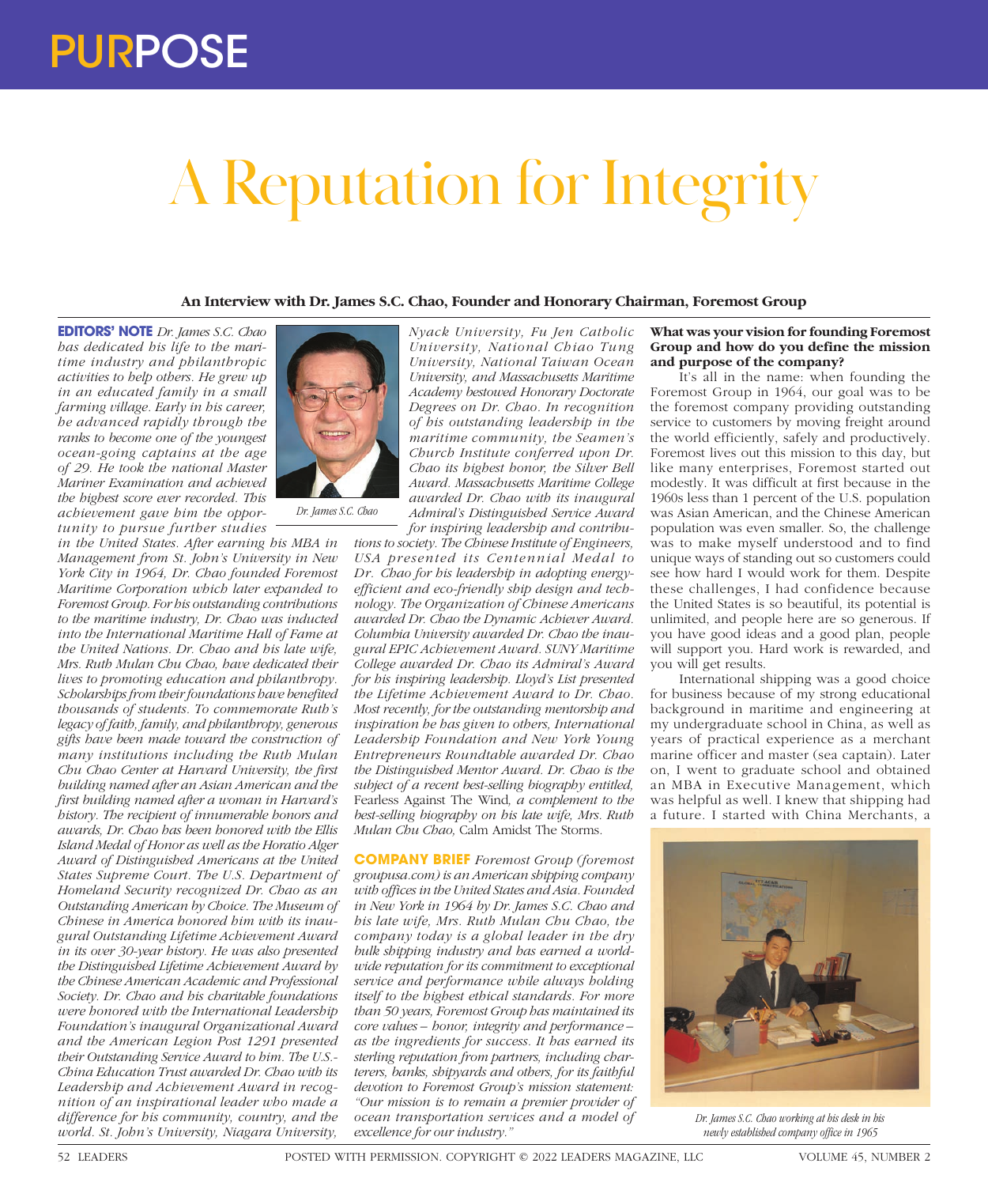# A Reputation for Integrity

## **An Interview with Dr. James S.C. Chao, Founder and Honorary Chairman, Foremost Group**

**EDITORS' NOTE** *Dr. James S.C. Chao has dedicated his life to the maritime industry and philanthropic activities to help others. He grew up in an educated family in a small farming village. Early in his career, he advanced rapidly through the ranks to become one of the youngest ocean-going captains at the age of 29. He took the national Master Mariner Examination and achieved the highest score ever recorded. This achievement gave him the opportunity to pursue further studies* 

*in the United States. After earning his MBA in Management from St. John's University in New York City in 1964, Dr. Chao founded Foremost Maritime Corporation which later expanded to Foremost Group. For his outstanding contributions to the maritime industry, Dr. Chao was inducted into the International Maritime Hall of Fame at the United Nations. Dr. Chao and his late wife, Mrs. Ruth Mulan Chu Chao, have dedicated their lives to promoting education and philanthropy. Scholarships from their foundations have benefited thousands of students. To commemorate Ruth's legacy of faith, family, and philanthropy, generous gifts have been made toward the construction of many institutions including the Ruth Mulan Chu Chao Center at Harvard University, the first building named after an Asian American and the first building named after a woman in Harvard's history. The recipient of innumerable honors and awards, Dr. Chao has been honored with the Ellis Island Medal of Honor as well as the Horatio Alger Award of Distinguished Americans at the United States Supreme Court. The U.S. Department of Homeland Security recognized Dr. Chao as an Outstanding American by Choice. The Museum of Chinese in America honored him with its inaugural Outstanding Lifetime Achievement Award in its over 30-year history. He was also presented the Distinguished Lifetime Achievement Award by the Chinese American Academic and Professional Society. Dr. Chao and his charitable foundations were honored with the International Leadership Foundation's inaugural Organizational Award and the American Legion Post 1291 presented their Outstanding Service Award to him. The U.S.- China Education Trust awarded Dr. Chao with its Leadership and Achievement Award in recognition of an inspirational leader who made a difference for his community, country, and the world. St. John's University, Niagara University,* 



*Dr. James S.C. Chao*

*Nyack University, Fu Jen Catholic University, National Chiao Tung University, National Taiwan Ocean University, and Massachusetts Maritime Academy bestowed Honorary Doctorate Degrees on Dr. Chao. In recognition of his outstanding leadership in the maritime community, the Seamen's Church Institute conferred upon Dr. Chao its highest honor, the Silver Bell Award. Massachusetts Maritime College awarded Dr. Chao with its inaugural Admiral's Distinguished Service Award for inspiring leadership and contribu-*

*tions to society. The Chinese Institute of Engineers, USA presented its Centennial Medal to Dr. Chao for his leadership in adopting energyefficient and eco-friendly ship design and technology. The Organization of Chinese Americans awarded Dr. Chao the Dynamic Achiever Award. Columbia University awarded Dr. Chao the inaugural EPIC Achievement Award. SUNY Maritime College awarded Dr. Chao its Admiral's Award for his inspiring leadership. Lloyd's List presented the Lifetime Achievement Award to Dr. Chao. Most recently, for the outstanding mentorship and inspiration he has given to others, International Leadership Foundation and New York Young Entrepreneurs Roundtable awarded Dr. Chao the Distinguished Mentor Award. Dr. Chao is the subject of a recent best-selling biography entitled,*  Fearless Against The Wind*, a complement to the best-selling biography on his late wife, Mrs. Ruth Mulan Chu Chao,* Calm Amidst The Storms*.*

**COMPANY BRIEF** *Foremost Group (foremost groupusa.com) is an American shipping company with offices in the United States and Asia. Founded in New York in 1964 by Dr. James S.C. Chao and his late wife, Mrs. Ruth Mulan Chu Chao, the company today is a global leader in the dry bulk shipping industry and has earned a worldwide reputation for its commitment to exceptional service and performance while always holding itself to the highest ethical standards. For more than 50 years, Foremost Group has maintained its core values – honor, integrity and performance – as the ingredients for success. It has earned its sterling reputation from partners, including charterers, banks, shipyards and others, for its faithful devotion to Foremost Group's mission statement: "Our mission is to remain a premier provider of ocean transportation services and a model of excellence for our industry."*

# **What was your vision for founding Foremost Group and how do you define the mission and purpose of the company?**

It's all in the name: when founding the Foremost Group in 1964, our goal was to be the foremost company providing outstanding service to customers by moving freight around the world efficiently, safely and productively. Foremost lives out this mission to this day, but like many enterprises, Foremost started out modestly. It was difficult at first because in the 1960s less than 1 percent of the U.S. population was Asian American, and the Chinese American population was even smaller. So, the challenge was to make myself understood and to find unique ways of standing out so customers could see how hard I would work for them. Despite these challenges, I had confidence because the United States is so beautiful, its potential is unlimited, and people here are so generous. If you have good ideas and a good plan, people will support you. Hard work is rewarded, and you will get results.

International shipping was a good choice for business because of my strong educational background in maritime and engineering at my undergraduate school in China, as well as years of practical experience as a merchant marine officer and master (sea captain). Later on, I went to graduate school and obtained an MBA in Executive Management, which was helpful as well. I knew that shipping had a future. I started with China Merchants, a



*Dr. James S.C. Chao working at his desk in his newly established company office in 1965*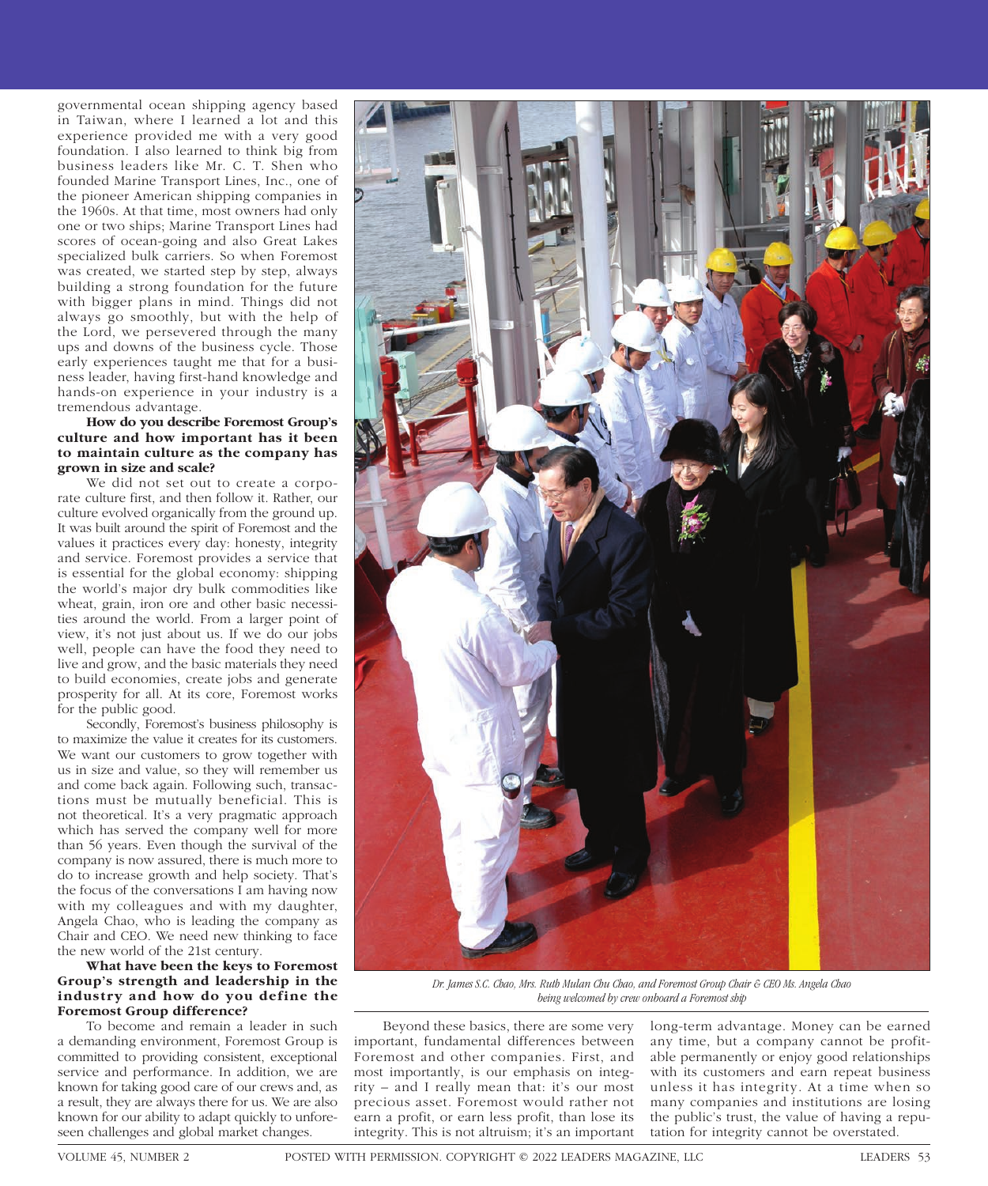governmental ocean shipping agency based in Taiwan, where I learned a lot and this experience provided me with a very good foundation. I also learned to think big from business leaders like Mr. C. T. Shen who founded Marine Transport Lines, Inc., one of the pioneer American shipping companies in the 1960s. At that time, most owners had only one or two ships; Marine Transport Lines had scores of ocean-going and also Great Lakes specialized bulk carriers. So when Foremost was created, we started step by step, always building a strong foundation for the future with bigger plans in mind. Things did not always go smoothly, but with the help of the Lord, we persevered through the many ups and downs of the business cycle. Those early experiences taught me that for a business leader, having first-hand knowledge and hands-on experience in your industry is a tremendous advantage.

# **How do you describe Foremost Group's culture and how important has it been to maintain culture as the company has grown in size and scale?**

We did not set out to create a corporate culture first, and then follow it. Rather, our culture evolved organically from the ground up. It was built around the spirit of Foremost and the values it practices every day: honesty, integrity and service. Foremost provides a service that is essential for the global economy: shipping the world's major dry bulk commodities like wheat, grain, iron ore and other basic necessities around the world. From a larger point of view, it's not just about us. If we do our jobs well, people can have the food they need to live and grow, and the basic materials they need to build economies, create jobs and generate prosperity for all. At its core, Foremost works for the public good.

Secondly, Foremost's business philosophy is to maximize the value it creates for its customers. We want our customers to grow together with us in size and value, so they will remember us and come back again. Following such, transactions must be mutually beneficial. This is not theoretical. It's a very pragmatic approach which has served the company well for more than 56 years. Even though the survival of the company is now assured, there is much more to do to increase growth and help society. That's the focus of the conversations I am having now with my colleagues and with my daughter, Angela Chao, who is leading the company as Chair and CEO. We need new thinking to face the new world of the 21st century.

# **What have been the keys to Foremost Group's strength and leadership in the industry and how do you define the Foremost Group difference?**

To become and remain a leader in such a demanding environment, Foremost Group is committed to providing consistent, exceptional service and performance. In addition, we are known for taking good care of our crews and, as a result, they are always there for us. We are also known for our ability to adapt quickly to unforeseen challenges and global market changes.



*Dr. James S.C. Chao, Mrs. Ruth Mulan Chu Chao, and Foremost Group Chair & CEO Ms. Angela Chao being welcomed by crew onboard a Foremost ship*

Beyond these basics, there are some very important, fundamental differences between Foremost and other companies. First, and most importantly, is our emphasis on integrity – and I really mean that: it's our most precious asset. Foremost would rather not earn a profit, or earn less profit, than lose its integrity. This is not altruism; it's an important

long-term advantage. Money can be earned any time, but a company cannot be profitable permanently or enjoy good relationships with its customers and earn repeat business unless it has integrity. At a time when so many companies and institutions are losing the public's trust, the value of having a reputation for integrity cannot be overstated.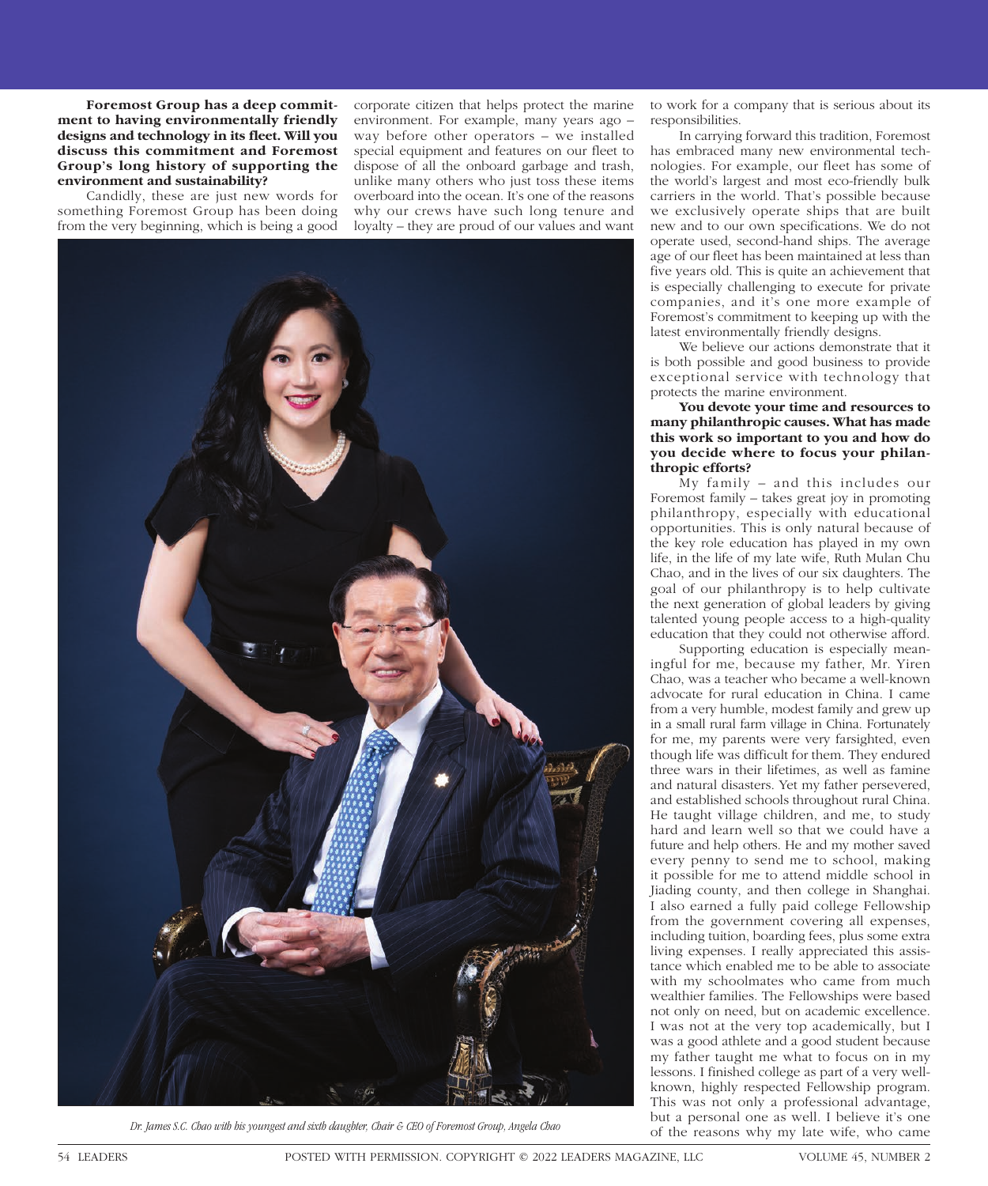**Foremost Group has a deep commitment to having environmentally friendly designs and technology in its fleet. Will you discuss this commitment and Foremost Group's long history of supporting the environment and sustainability?**

Candidly, these are just new words for something Foremost Group has been doing from the very beginning, which is being a good

corporate citizen that helps protect the marine environment. For example, many years ago – way before other operators – we installed special equipment and features on our fleet to dispose of all the onboard garbage and trash, unlike many others who just toss these items overboard into the ocean. It's one of the reasons why our crews have such long tenure and loyalty – they are proud of our values and want



of the reasons why my late wife, who came *Dr. James S.C. Chao with his youngest and sixth daughter, Chair & CEO of Foremost Group, Angela Chao*

to work for a company that is serious about its responsibilities.

In carrying forward this tradition, Foremost has embraced many new environmental technologies. For example, our fleet has some of the world's largest and most eco-friendly bulk carriers in the world. That's possible because we exclusively operate ships that are built new and to our own specifications. We do not operate used, second-hand ships. The average age of our fleet has been maintained at less than five years old. This is quite an achievement that is especially challenging to execute for private companies, and it's one more example of Foremost's commitment to keeping up with the latest environmentally friendly designs.

We believe our actions demonstrate that it is both possible and good business to provide exceptional service with technology that protects the marine environment.

**You devote your time and resources to many philanthropic causes. What has made this work so important to you and how do you decide where to focus your philanthropic efforts?**

My family – and this includes our Foremost family – takes great joy in promoting philanthropy, especially with educational opportunities. This is only natural because of the key role education has played in my own life, in the life of my late wife, Ruth Mulan Chu Chao, and in the lives of our six daughters. The goal of our philanthropy is to help cultivate the next generation of global leaders by giving talented young people access to a high-quality education that they could not otherwise afford.

Supporting education is especially meaningful for me, because my father, Mr. Yiren Chao, was a teacher who became a well-known advocate for rural education in China. I came from a very humble, modest family and grew up in a small rural farm village in China. Fortunately for me, my parents were very farsighted, even though life was difficult for them. They endured three wars in their lifetimes, as well as famine and natural disasters. Yet my father persevered, and established schools throughout rural China. He taught village children, and me, to study hard and learn well so that we could have a future and help others. He and my mother saved every penny to send me to school, making it possible for me to attend middle school in Jiading county, and then college in Shanghai. I also earned a fully paid college Fellowship from the government covering all expenses, including tuition, boarding fees, plus some extra living expenses. I really appreciated this assistance which enabled me to be able to associate with my schoolmates who came from much wealthier families. The Fellowships were based not only on need, but on academic excellence. I was not at the very top academically, but I was a good athlete and a good student because my father taught me what to focus on in my lessons. I finished college as part of a very wellknown, highly respected Fellowship program. This was not only a professional advantage, but a personal one as well. I believe it's one